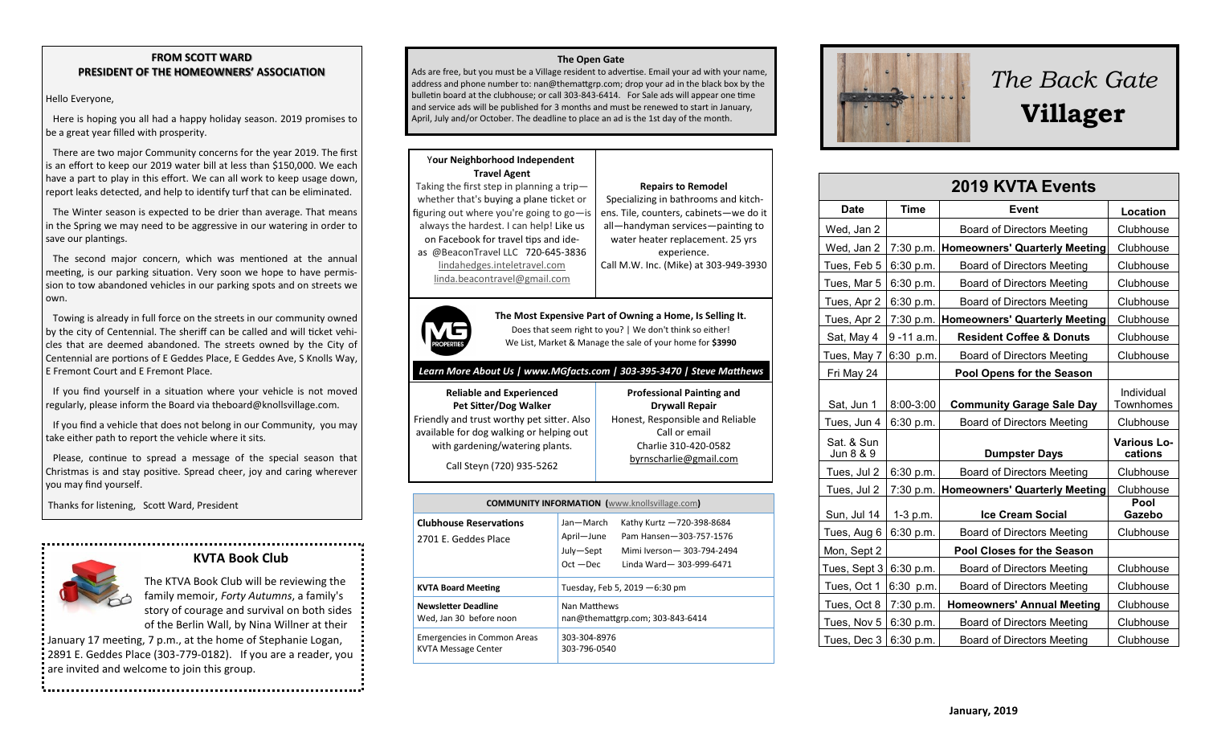### **FROM SCOTT WARD PRESIDENT OF THE HOMEOWNERS' ASSOCIATION**

### Hello Everyone,

 Here is hoping you all had a happy holiday season. 2019 promises to be a great year filled with prosperity.

 There are two major Community concerns for the year 2019. The first is an effort to keep our 2019 water bill at less than \$150,000. We each have a part to play in this effort. We can all work to keep usage down, report leaks detected, and help to identify turf that can be eliminated.

 The Winter season is expected to be drier than average. That means in the Spring we may need to be aggressive in our watering in order to save our plantings.

 The second major concern, which was mentioned at the annual meeting, is our parking situation. Very soon we hope to have permission to tow abandoned vehicles in our parking spots and on streets we own.

 Towing is already in full force on the streets in our community owned by the city of Centennial. The sheriff can be called and will ticket vehicles that are deemed abandoned. The streets owned by the City of Centennial are portions of E Geddes Place, E Geddes Ave, S Knolls Way, E Fremont Court and E Fremont Place.

 If you find yourself in a situation where your vehicle is not moved regularly, please inform the Board via theboard@knollsvillage.com.

 If you find a vehicle that does not belong in our Community, you may take either path to report the vehicle where it sits.

 Please, continue to spread a message of the special season that Christmas is and stay positive. Spread cheer, joy and caring wherever you may find yourself.

Thanks for listening, Scott Ward, President

 **KVTA Book Club**

The KTVA Book Club will be reviewing the family memoir, *Forty Autumns*, a family's story of courage and survival on both sides of the Berlin Wall, by Nina Willner at their

January 17 meeting, 7 p.m., at the home of Stephanie Logan, 2891 E. Geddes Place (303-779-0182). If you are a reader, you are invited and welcome to join this group.

### **The Open Gate**

Ads are free, but you must be a Village resident to advertise. Email your ad with your name, address and phone number to: nan@themattgrp.com; drop your ad in the black box by the bulletin board at the clubhouse; or call 303-843-6414. For Sale ads will appear one time and service ads will be published for 3 months and must be renewed to start in January, April, July and/or October. The deadline to place an ad is the 1st day of the month.

### Y**our Neighborhood Independent Travel Agent**

Taking the first step in planning a trip whether that's buying a plane ticket or figuring out where you're going to go—is always the hardest. I can help! Like us on Facebook for travel tips and ideas @BeaconTravel LLC 720-645-3836

Specializing in bathrooms and kitchens. Tile, counters, cabinets—we do it all—handyman services—painting to water heater replacement. 25 yrs experience.

Call M.W. Inc. (Mike) at 303-949-3930

**Repairs to Remodel**

[lindahedges.inteletravel.com](http://lindahedges.inteletravel.com) [linda.beacontravel@gmail.com](mailto:linda.beacontravel@gmail.com)



**The Most Expensive Part of Owning a Home, Is Selling It.** Does that seem right to you? | We don't think so either! We List, Market & Manage the sale of your home for **\$3990**

### *Learn More About Us | www.MGfacts.com | 303-395-3470 | Steve Matthews*

**Reliable and Experienced Pet Sitter/Dog Walker** Friendly and trust worthy pet sitter. Also available for dog walking or helping out with gardening/watering plants.

**Professional Painting and Drywall Repair** Honest, Responsible and Reliable Call or email Charlie 310-420-0582 [byrnscharlie@gmail.com](mailto:byrnscharlie@gmail.com)

Call Steyn (720) 935-5262

| <b>COMMUNITY INFORMATION</b> (www.knollsvillage.com)             |                                                     |                                                                                                                |  |  |
|------------------------------------------------------------------|-----------------------------------------------------|----------------------------------------------------------------------------------------------------------------|--|--|
| <b>Clubhouse Reservations</b><br>2701 E. Geddes Place            | Jan-March<br>April-June<br>July-Sept<br>$Oct - Dec$ | Kathy Kurtz -720-398-8684<br>Pam Hansen-303-757-1576<br>Mimi Iverson - 303-794-2494<br>Linda Ward-303-999-6471 |  |  |
| <b>KVTA Board Meeting</b>                                        | Tuesday, Feb 5, 2019 - 6:30 pm                      |                                                                                                                |  |  |
| Newsletter Deadline<br>Wed, Jan 30 before noon                   | Nan Matthews<br>nan@themattgrp.com; 303-843-6414    |                                                                                                                |  |  |
| <b>Emergencies in Common Areas</b><br><b>KVTA Message Center</b> | 303-304-8976<br>303-796-0540                        |                                                                                                                |  |  |



# *The Back Gate*  **Villager**

## **2019 KVTA Events**

| <b>Date</b>             | <b>Time</b> | <b>Event</b>                         | Location                      |
|-------------------------|-------------|--------------------------------------|-------------------------------|
| Wed, Jan 2              |             | <b>Board of Directors Meeting</b>    | Clubhouse                     |
| Wed, Jan 2              | 7:30 p.m.   | <b>Homeowners' Quarterly Meeting</b> | Clubhouse                     |
| Tues, Feb 5             | 6:30 p.m.   | <b>Board of Directors Meeting</b>    | Clubhouse                     |
| Tues, Mar 5             | 6:30 p.m.   | <b>Board of Directors Meeting</b>    | Clubhouse                     |
| Tues, Apr 2             | 6:30 p.m.   | <b>Board of Directors Meeting</b>    | Clubhouse                     |
| Tues, Apr 2             | 7:30 p.m.   | <b>Homeowners' Quarterly Meeting</b> | Clubhouse                     |
| Sat, May 4              | 9 -11 a.m.  | <b>Resident Coffee &amp; Donuts</b>  | Clubhouse                     |
| Tues, May 7             | 6:30 p.m.   | <b>Board of Directors Meeting</b>    | Clubhouse                     |
| Fri May 24              |             | Pool Opens for the Season            |                               |
| Sat, Jun 1              | 8:00-3:00   | <b>Community Garage Sale Day</b>     | Individual<br>Townhomes       |
| Tues, Jun 4             | 6:30 p.m.   | <b>Board of Directors Meeting</b>    | Clubhouse                     |
| Sat. & Sun<br>Jun 8 & 9 |             | <b>Dumpster Days</b>                 | <b>Various Lo-</b><br>cations |
| Tues, Jul 2             | 6:30 p.m.   | <b>Board of Directors Meeting</b>    | Clubhouse                     |
| Tues, Jul 2             | 7:30 p.m.   | <b>Homeowners' Quarterly Meeting</b> | Clubhouse                     |
| Sun, Jul 14             | $1-3$ p.m.  | <b>Ice Cream Social</b>              | Pool<br>Gazebo                |
| Tues, Aug 6             | 6:30 p.m.   | <b>Board of Directors Meeting</b>    | Clubhouse                     |
| Mon, Sept 2             |             | Pool Closes for the Season           |                               |
| Tues, Sept 3            | 6:30 p.m.   | <b>Board of Directors Meeting</b>    | Clubhouse                     |
| Tues, Oct 1             | 6:30 p.m.   | <b>Board of Directors Meeting</b>    | Clubhouse                     |
| Tues, Oct 8             | 7:30 p.m.   | <b>Homeowners' Annual Meeting</b>    | Clubhouse                     |
| Tues, Nov 5             | 6:30 p.m.   | Board of Directors Meeting           | Clubhouse                     |
| Tues, Dec 3             | 6:30 p.m.   | <b>Board of Directors Meeting</b>    | Clubhouse                     |